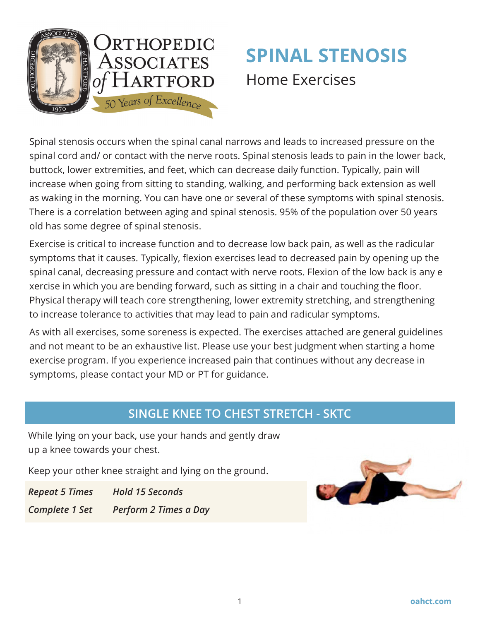

# **SPINAL STENOSIS**  Home Exercises

Spinal stenosis occurs when the spinal canal narrows and leads to increased pressure on the spinal cord and/ or contact with the nerve roots. Spinal stenosis leads to pain in the lower back, buttock, lower extremities, and feet, which can decrease daily function. Typically, pain will increase when going from sitting to standing, walking, and performing back extension as well as waking in the morning. You can have one or several of these symptoms with spinal stenosis. There is a correlation between aging and spinal stenosis. 95% of the population over 50 years old has some degree of spinal stenosis.

Exercise is critical to increase function and to decrease low back pain, as well as the radicular symptoms that it causes. Typically, flexion exercises lead to decreased pain by opening up the spinal canal, decreasing pressure and contact with nerve roots. Flexion of the low back is any e xercise in which you are bending forward, such as sitting in a chair and touching the floor. Physical therapy will teach core strengthening, lower extremity stretching, and strengthening to increase tolerance to activities that may lead to pain and radicular symptoms.

As with all exercises, some soreness is expected. The exercises attached are general guidelines and not meant to be an exhaustive list. Please use your best judgment when starting a home exercise program. If you experience increased pain that continues without any decrease in symptoms, please contact your MD or PT for guidance.

# **SINGLE KNEE TO CHEST STRETCH - SKTC**

While lying on your back, use your hands and gently draw up a knee towards your chest.

Keep your other knee straight and lying on the ground.

*Repeat 5 Times Hold 15 Seconds*

*Complete 1 Set Perform 2 Times a Day*

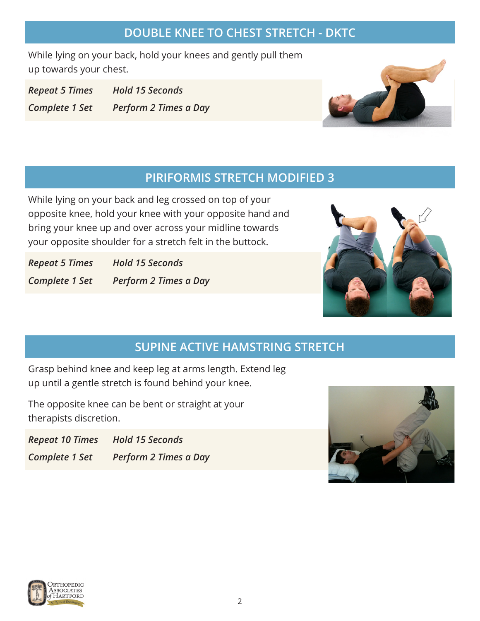### **DOUBLE KNEE TO CHEST STRETCH - DKTC**

While lying on your back, hold your knees and gently pull them up towards your chest.

*Repeat 5 Times Hold 15 Seconds Complete 1 Set Perform 2 Times a Day*



## **PIRIFORMIS STRETCH MODIFIED 3**

While lying on your back and leg crossed on top of your opposite knee, hold your knee with your opposite hand and bring your knee up and over across your midline towards your opposite shoulder for a stretch felt in the buttock.

*Repeat 5 Times Hold 15 Seconds Complete 1 Set Perform 2 Times a Day*



# **SUPINE ACTIVE HAMSTRING STRETCH**

Grasp behind knee and keep leg at arms length. Extend leg up until a gentle stretch is found behind your knee.

The opposite knee can be bent or straight at your therapists discretion.

*Repeat 10 Times Hold 15 Seconds Complete 1 Set Perform 2 Times a Day*